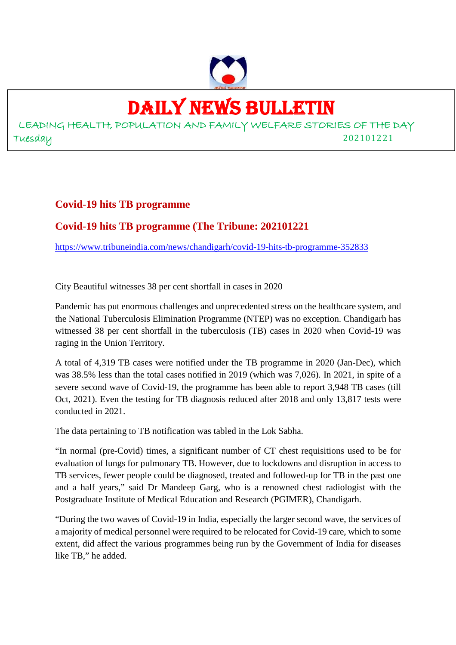

## DAILY NEWS BULLETIN

LEADING HEALTH, POPULATION AND FAMILY WELFARE STORIES OF THE DAY Tuesday 202101221

#### **Covid-19 hits TB programme**

#### **Covid-19 hits TB programme (The Tribune: 202101221**

https://www.tribuneindia.com/news/chandigarh/covid-19-hits-tb-programme-352833

City Beautiful witnesses 38 per cent shortfall in cases in 2020

Pandemic has put enormous challenges and unprecedented stress on the healthcare system, and the National Tuberculosis Elimination Programme (NTEP) was no exception. Chandigarh has witnessed 38 per cent shortfall in the tuberculosis (TB) cases in 2020 when Covid-19 was raging in the Union Territory.

A total of 4,319 TB cases were notified under the TB programme in 2020 (Jan-Dec), which was 38.5% less than the total cases notified in 2019 (which was 7,026). In 2021, in spite of a severe second wave of Covid-19, the programme has been able to report 3,948 TB cases (till Oct, 2021). Even the testing for TB diagnosis reduced after 2018 and only 13,817 tests were conducted in 2021.

The data pertaining to TB notification was tabled in the Lok Sabha.

"In normal (pre-Covid) times, a significant number of CT chest requisitions used to be for evaluation of lungs for pulmonary TB. However, due to lockdowns and disruption in access to TB services, fewer people could be diagnosed, treated and followed-up for TB in the past one and a half years," said Dr Mandeep Garg, who is a renowned chest radiologist with the Postgraduate Institute of Medical Education and Research (PGIMER), Chandigarh.

"During the two waves of Covid-19 in India, especially the larger second wave, the services of a majority of medical personnel were required to be relocated for Covid-19 care, which to some extent, did affect the various programmes being run by the Government of India for diseases like TB," he added.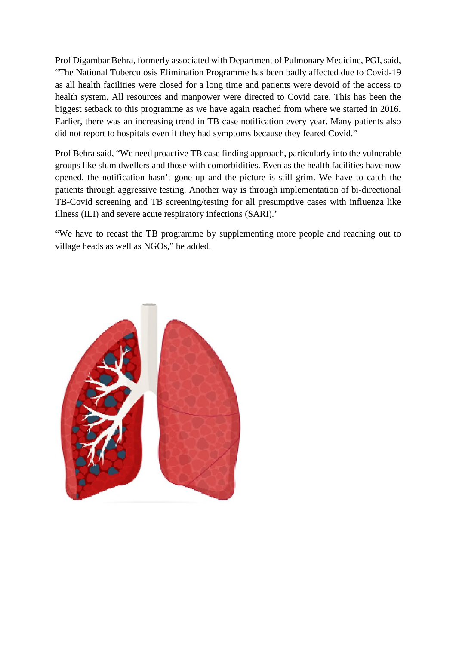Prof Digambar Behra, formerly associated with Department of Pulmonary Medicine, PGI, said, "The National Tuberculosis Elimination Programme has been badly affected due to Covid-19 as all health facilities were closed for a long time and patients were devoid of the access to health system. All resources and manpower were directed to Covid care. This has been the biggest setback to this programme as we have again reached from where we started in 2016. Earlier, there was an increasing trend in TB case notification every year. Many patients also did not report to hospitals even if they had symptoms because they feared Covid."

Prof Behra said, "We need proactive TB case finding approach, particularly into the vulnerable groups like slum dwellers and those with comorbidities. Even as the health facilities have now opened, the notification hasn't gone up and the picture is still grim. We have to catch the patients through aggressive testing. Another way is through implementation of bi-directional TB-Covid screening and TB screening/testing for all presumptive cases with influenza like illness (ILI) and severe acute respiratory infections (SARI).'

"We have to recast the TB programme by supplementing more people and reaching out to village heads as well as NGOs," he added.

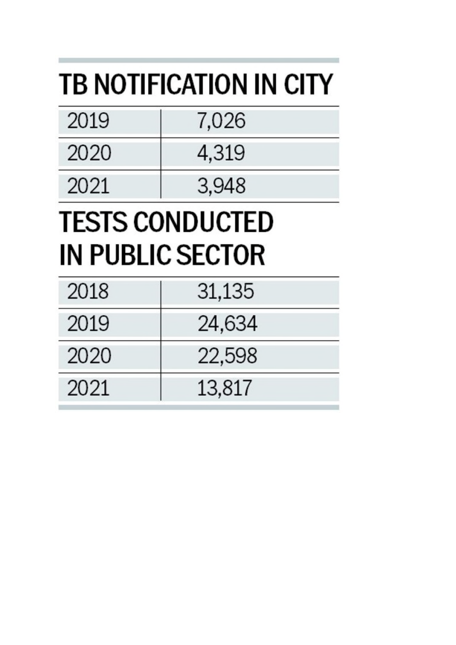# **TB NOTIFICATION IN CITY**

| 2019 | 7,026 |
|------|-------|
| 2020 | 4,319 |
| 2021 | 3,948 |

# **TESTS CONDUCTED IN PUBLIC SECTOR**

| 2018 | 31,135 |
|------|--------|
| 2019 | 24,634 |
| 2020 | 22,598 |
| 2021 | 13,817 |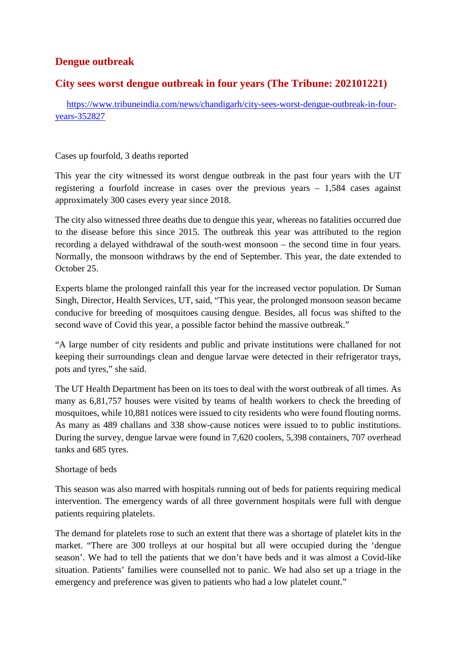#### **Dengue outbreak**

#### **City sees worst dengue outbreak in four years (The Tribune: 202101221)**

https://www.tribuneindia.com/news/chandigarh/city-sees-worst-dengue-outbreak-in-fouryears-352827

#### Cases up fourfold, 3 deaths reported

This year the city witnessed its worst dengue outbreak in the past four years with the UT registering a fourfold increase in cases over the previous years – 1,584 cases against approximately 300 cases every year since 2018.

The city also witnessed three deaths due to dengue this year, whereas no fatalities occurred due to the disease before this since 2015. The outbreak this year was attributed to the region recording a delayed withdrawal of the south-west monsoon – the second time in four years. Normally, the monsoon withdraws by the end of September. This year, the date extended to October 25.

Experts blame the prolonged rainfall this year for the increased vector population. Dr Suman Singh, Director, Health Services, UT, said, "This year, the prolonged monsoon season became conducive for breeding of mosquitoes causing dengue. Besides, all focus was shifted to the second wave of Covid this year, a possible factor behind the massive outbreak."

"A large number of city residents and public and private institutions were challaned for not keeping their surroundings clean and dengue larvae were detected in their refrigerator trays, pots and tyres," she said.

The UT Health Department has been on its toes to deal with the worst outbreak of all times. As many as 6,81,757 houses were visited by teams of health workers to check the breeding of mosquitoes, while 10,881 notices were issued to city residents who were found flouting norms. As many as 489 challans and 338 show-cause notices were issued to to public institutions. During the survey, dengue larvae were found in 7,620 coolers, 5,398 containers, 707 overhead tanks and 685 tyres.

#### Shortage of beds

This season was also marred with hospitals running out of beds for patients requiring medical intervention. The emergency wards of all three government hospitals were full with dengue patients requiring platelets.

The demand for platelets rose to such an extent that there was a shortage of platelet kits in the market. "There are 300 trolleys at our hospital but all were occupied during the 'dengue season'. We had to tell the patients that we don't have beds and it was almost a Covid-like situation. Patients' families were counselled not to panic. We had also set up a triage in the emergency and preference was given to patients who had a low platelet count."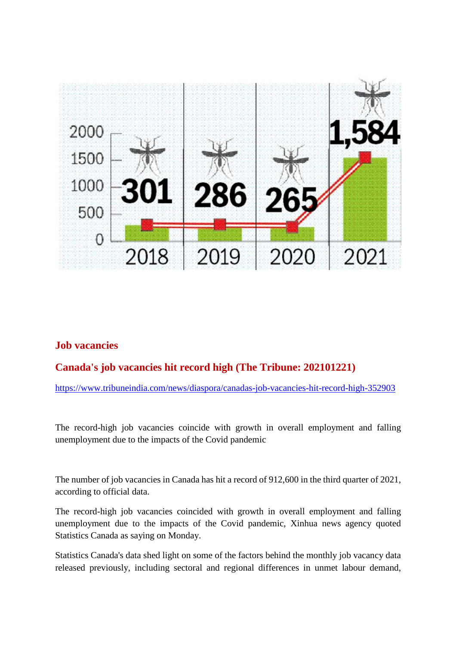

#### **Job vacancies**

#### **Canada's job vacancies hit record high (The Tribune: 202101221)**

https://www.tribuneindia.com/news/diaspora/canadas-job-vacancies-hit-record-high-352903

The record-high job vacancies coincide with growth in overall employment and falling unemployment due to the impacts of the Covid pandemic

The number of job vacancies in Canada has hit a record of 912,600 in the third quarter of 2021, according to official data.

The record-high job vacancies coincided with growth in overall employment and falling unemployment due to the impacts of the Covid pandemic, Xinhua news agency quoted Statistics Canada as saying on Monday.

Statistics Canada's data shed light on some of the factors behind the monthly job vacancy data released previously, including sectoral and regional differences in unmet labour demand,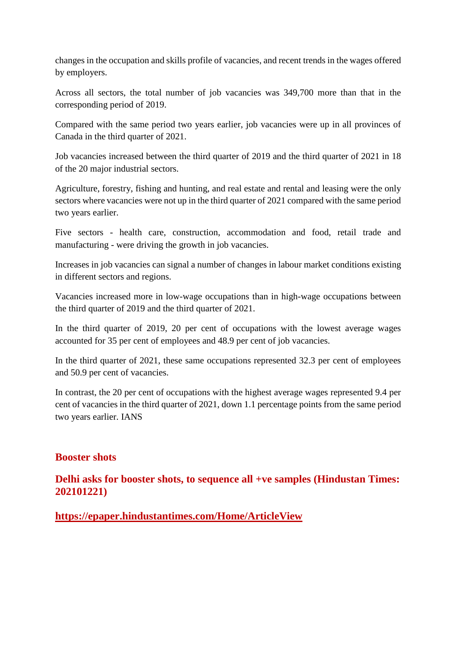changes in the occupation and skills profile of vacancies, and recent trends in the wages offered by employers.

Across all sectors, the total number of job vacancies was 349,700 more than that in the corresponding period of 2019.

Compared with the same period two years earlier, job vacancies were up in all provinces of Canada in the third quarter of 2021.

Job vacancies increased between the third quarter of 2019 and the third quarter of 2021 in 18 of the 20 major industrial sectors.

Agriculture, forestry, fishing and hunting, and real estate and rental and leasing were the only sectors where vacancies were not up in the third quarter of 2021 compared with the same period two years earlier.

Five sectors - health care, construction, accommodation and food, retail trade and manufacturing - were driving the growth in job vacancies.

Increases in job vacancies can signal a number of changes in labour market conditions existing in different sectors and regions.

Vacancies increased more in low-wage occupations than in high-wage occupations between the third quarter of 2019 and the third quarter of 2021.

In the third quarter of 2019, 20 per cent of occupations with the lowest average wages accounted for 35 per cent of employees and 48.9 per cent of job vacancies.

In the third quarter of 2021, these same occupations represented 32.3 per cent of employees and 50.9 per cent of vacancies.

In contrast, the 20 per cent of occupations with the highest average wages represented 9.4 per cent of vacancies in the third quarter of 2021, down 1.1 percentage points from the same period two years earlier. IANS

#### **Booster shots**

**Delhi asks for booster shots, to sequence all +ve samples (Hindustan Times: 202101221)**

**https://epaper.hindustantimes.com/Home/ArticleView**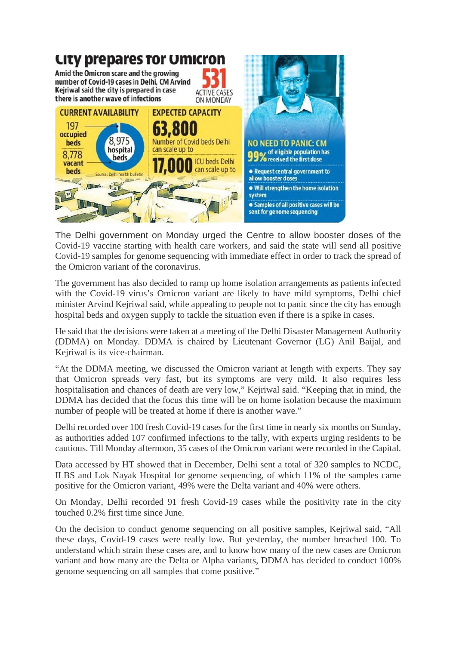

The Delhi government on Monday urged the Centre to allow booster doses of the Covid-19 vaccine starting with health care workers, and said the state will send all positive Covid-19 samples for genome sequencing with immediate effect in order to track the spread of the Omicron variant of the coronavirus.

The government has also decided to ramp up home isolation arrangements as patients infected with the Covid-19 virus's Omicron variant are likely to have mild symptoms, Delhi chief minister Arvind Kejriwal said, while appealing to people not to panic since the city has enough hospital beds and oxygen supply to tackle the situation even if there is a spike in cases.

He said that the decisions were taken at a meeting of the Delhi Disaster Management Authority (DDMA) on Monday. DDMA is chaired by Lieutenant Governor (LG) Anil Baijal, and Kejriwal is its vice-chairman.

"At the DDMA meeting, we discussed the Omicron variant at length with experts. They say that Omicron spreads very fast, but its symptoms are very mild. It also requires less hospitalisation and chances of death are very low," Kejriwal said. "Keeping that in mind, the DDMA has decided that the focus this time will be on home isolation because the maximum number of people will be treated at home if there is another wave."

Delhi recorded over 100 fresh Covid-19 cases for the first time in nearly six months on Sunday, as authorities added 107 confirmed infections to the tally, with experts urging residents to be cautious. Till Monday afternoon, 35 cases of the Omicron variant were recorded in the Capital.

Data accessed by HT showed that in December, Delhi sent a total of 320 samples to NCDC, ILBS and Lok Nayak Hospital for genome sequencing, of which 11% of the samples came positive for the Omicron variant, 49% were the Delta variant and 40% were others.

On Monday, Delhi recorded 91 fresh Covid-19 cases while the positivity rate in the city touched 0.2% first time since June.

On the decision to conduct genome sequencing on all positive samples, Kejriwal said, "All these days, Covid-19 cases were really low. But yesterday, the number breached 100. To understand which strain these cases are, and to know how many of the new cases are Omicron variant and how many are the Delta or Alpha variants, DDMA has decided to conduct 100% genome sequencing on all samples that come positive."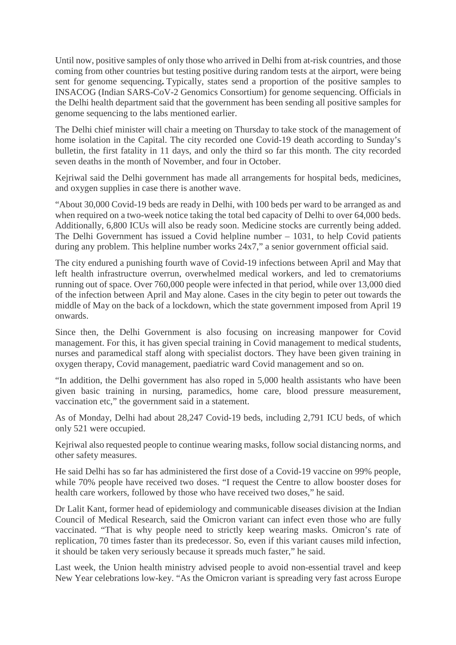Until now, positive samples of only those who arrived in Delhi from at-risk countries, and those coming from other countries but testing positive during random tests at the airport, were being sent for genome sequencing**.** Typically, states send a proportion of the positive samples to INSACOG (Indian SARS-CoV-2 Genomics Consortium) for genome sequencing. Officials in the Delhi health department said that the government has been sending all positive samples for genome sequencing to the labs mentioned earlier.

The Delhi chief minister will chair a meeting on Thursday to take stock of the management of home isolation in the Capital. The city recorded one Covid-19 death according to Sunday's bulletin, the first fatality in 11 days, and only the third so far this month. The city recorded seven deaths in the month of November, and four in October.

Kejriwal said the Delhi government has made all arrangements for hospital beds, medicines, and oxygen supplies in case there is another wave.

"About 30,000 Covid-19 beds are ready in Delhi, with 100 beds per ward to be arranged as and when required on a two-week notice taking the total bed capacity of Delhi to over 64,000 beds. Additionally, 6,800 ICUs will also be ready soon. Medicine stocks are currently being added. The Delhi Government has issued a Covid helpline number – 1031, to help Covid patients during any problem. This helpline number works 24x7," a senior government official said.

The city endured a punishing fourth wave of Covid-19 infections between April and May that left health infrastructure overrun, overwhelmed medical workers, and led to crematoriums running out of space. Over 760,000 people were infected in that period, while over 13,000 died of the infection between April and May alone. Cases in the city begin to peter out towards the middle of May on the back of a lockdown, which the state government imposed from April 19 onwards.

Since then, the Delhi Government is also focusing on increasing manpower for Covid management. For this, it has given special training in Covid management to medical students, nurses and paramedical staff along with specialist doctors. They have been given training in oxygen therapy, Covid management, paediatric ward Covid management and so on.

"In addition, the Delhi government has also roped in 5,000 health assistants who have been given basic training in nursing, paramedics, home care, blood pressure measurement, vaccination etc," the government said in a statement.

As of Monday, Delhi had about 28,247 Covid-19 beds, including 2,791 ICU beds, of which only 521 were occupied.

Kejriwal also requested people to continue wearing masks, follow social distancing norms, and other safety measures.

He said Delhi has so far has administered the first dose of a Covid-19 vaccine on 99% people, while 70% people have received two doses. "I request the Centre to allow booster doses for health care workers, followed by those who have received two doses," he said.

Dr Lalit Kant, former head of epidemiology and communicable diseases division at the Indian Council of Medical Research, said the Omicron variant can infect even those who are fully vaccinated. "That is why people need to strictly keep wearing masks. Omicron's rate of replication, 70 times faster than its predecessor. So, even if this variant causes mild infection, it should be taken very seriously because it spreads much faster," he said.

Last week, the Union health ministry advised people to avoid non-essential travel and keep New Year celebrations low-key. "As the Omicron variant is spreading very fast across Europe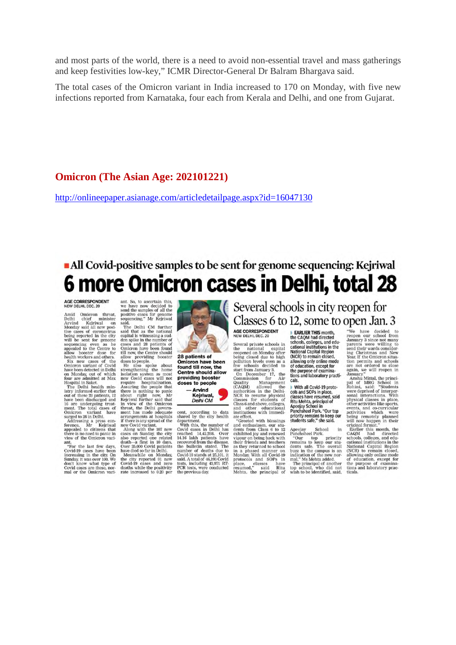and most parts of the world, there is a need to avoid non-essential travel and mass gatherings and keep festivities low-key," ICMR Director-General Dr Balram Bhargava said.

The total cases of the Omicron variant in India increased to 170 on Monday, with five new infections reported from Karnataka, four each from Kerala and Delhi, and one from Gujarat.

#### **Omicron (The Asian Age: 202101221)**

http://onlineepaper.asianage.com/articledetailpage.aspx?id=16047130

### • All Covid-positive samples to be sent for genome sequencing: Kejriwal 6 more Omicron cases in Delhi, total 28

#### AGE CORRESPONDENT<br>NEW DELHI, DEC. 20

Amid Omicron threat, Delhi chief minister<br>Arvind Kejriwal on<br>Monday said all new posi-Arvind Kejrival in Carry Monday said all new positive cases of coronavirus being reported in the case of coronavirus will be seen for general appears appeared a population of the mean beach of the mean beach that be healt

view of the Omicron variants<br>
"For the last few days, Covid J9 cases have been<br>
increasing in the city On<br>
Sunday, it was over 100, We<br>
don't know what type of<br>
Covid cases are these, non-<br>
mal or the Omicron variants

ant. So, to ascertain this, we have now decided to send the samples of all the positive cases for genome sequencing,"  $Mr$  Kejriwal

positive cases for genome<br>sequencing," Mr Kejriwal<br>sequencing," Mr Kejriwal<br>and.<br>The Delhi CM further said that as the national computed that as the maximum<br>den spike in the number of<br>cases and 26 parelis of the number of

deaths while the positivity<br>rate increased to 0,20 per



28 patients of **Omicron have been** found till now, the<br>Centre should allow providing booster<br>doses to people - Arvind



cent, according to data shared by the city health<br>department. With this, the number of Covid cases in Delhi has<br>reached 14,42,288. Over recorded 14,42,288. Over recorder and<br> $14.16$ iakh patients have recordered from the d the builder stated. The<br>mumber of deaths due to<br>Covid-19 stands at 25,101, it<br>said. A total of 46,193 Covid<br>tests, including 43,971 RT-<br>PCR tests, were conducted<br>the previous day. the previous day

Several schools in city reopen for Classes 6 to 12, some to open Jan. 3

#### AGE CORRESPONDENT<br>NEW DELHI, DEC. 20

NEW DELHI, DEC. 20<br>
NEW DELHI, DEC. 20<br>
Several private schools in the national capital<br>
respected on Monday after<br>
reoperad on Monday after<br>
reoperad on Monday after<br>
being closed due to high<br>
reoperad on Monday after<br>
be

EARLIER THIS month,<br>the CAQM had directed<br>schools, colleges, and edu-<br>cational institutions in the **National Capital Region** (NCR) to remain closed,<br>allowing only online mode of education, except for or equcation, except for<br>the purpose of examina-<br>tions and laboratory practi-

cals With all Covid-19 protocols and SOPs in place. classes have resumed, said classes have resumed, said<br>Ritu Mehta, principal of<br>Apeejay School in<br>Panchsheel Park. "Our top priority remains to keep our<br>students safe," she said.

Apeelay School in Panchsheel Park.<br>"Our top priority remains to keep our students safe. The overall buzz in the campus is an indication of the new normal," Ms Mehta added.<br>Imagin The principal of another top school, who di top school, who did not<br>wish to be identified, said,

**OPEN Jan. 3**<br>
We have decided to reopen our school from<br>
rangemour school from<br>
rannuary 3 since not many<br>
parents were willing to<br>
smany 3 since not many<br>
parents were willing the<br>
small their wards consider-<br>
from the

the purpose of examinations and laboratory practicals.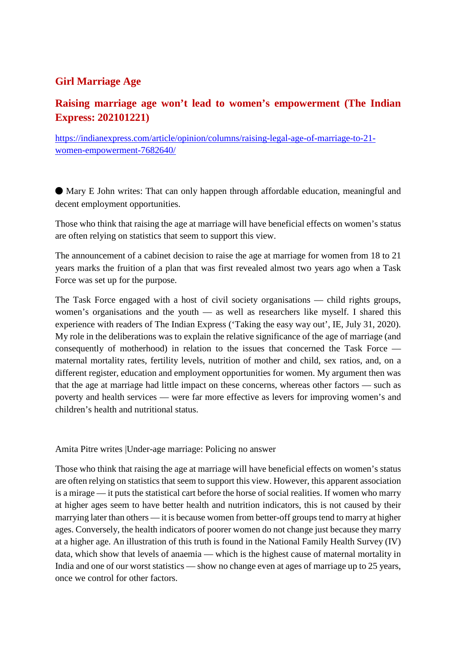#### **Girl Marriage Age**

#### **Raising marriage age won't lead to women's empowerment (The Indian Express: 202101221)**

https://indianexpress.com/article/opinion/columns/raising-legal-age-of-marriage-to-21 women-empowerment-7682640/

⬤ Mary E John writes: That can only happen through affordable education, meaningful and decent employment opportunities.

Those who think that raising the age at marriage will have beneficial effects on women's status are often relying on statistics that seem to support this view.

The announcement of a cabinet decision to raise the age at marriage for women from 18 to 21 years marks the fruition of a plan that was first revealed almost two years ago when a Task Force was set up for the purpose.

The Task Force engaged with a host of civil society organisations — child rights groups, women's organisations and the youth — as well as researchers like myself. I shared this experience with readers of The Indian Express ('Taking the easy way out', IE, July 31, 2020). My role in the deliberations was to explain the relative significance of the age of marriage (and consequently of motherhood) in relation to the issues that concerned the Task Force maternal mortality rates, fertility levels, nutrition of mother and child, sex ratios, and, on a different register, education and employment opportunities for women. My argument then was that the age at marriage had little impact on these concerns, whereas other factors — such as poverty and health services — were far more effective as levers for improving women's and children's health and nutritional status.

Amita Pitre writes |Under-age marriage: Policing no answer

Those who think that raising the age at marriage will have beneficial effects on women's status are often relying on statistics that seem to support this view. However, this apparent association is a mirage — it puts the statistical cart before the horse of social realities. If women who marry at higher ages seem to have better health and nutrition indicators, this is not caused by their marrying later than others — it is because women from better-off groups tend to marry at higher ages. Conversely, the health indicators of poorer women do not change just because they marry at a higher age. An illustration of this truth is found in the National Family Health Survey (IV) data, which show that levels of anaemia — which is the highest cause of maternal mortality in India and one of our worst statistics — show no change even at ages of marriage up to 25 years, once we control for other factors.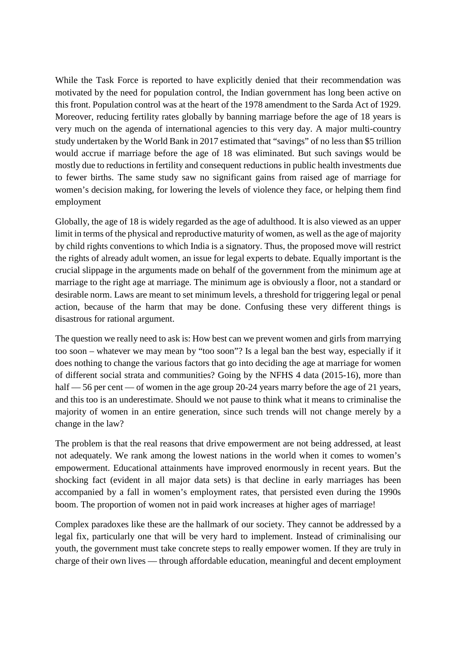While the Task Force is reported to have explicitly denied that their recommendation was motivated by the need for population control, the Indian government has long been active on this front. Population control was at the heart of the 1978 amendment to the Sarda Act of 1929. Moreover, reducing fertility rates globally by banning marriage before the age of 18 years is very much on the agenda of international agencies to this very day. A major multi-country study undertaken by the World Bank in 2017 estimated that "savings" of no less than \$5 trillion would accrue if marriage before the age of 18 was eliminated. But such savings would be mostly due to reductions in fertility and consequent reductions in public health investments due to fewer births. The same study saw no significant gains from raised age of marriage for women's decision making, for lowering the levels of violence they face, or helping them find employment

Globally, the age of 18 is widely regarded as the age of adulthood. It is also viewed as an upper limit in terms of the physical and reproductive maturity of women, as well as the age of majority by child rights conventions to which India is a signatory. Thus, the proposed move will restrict the rights of already adult women, an issue for legal experts to debate. Equally important is the crucial slippage in the arguments made on behalf of the government from the minimum age at marriage to the right age at marriage. The minimum age is obviously a floor, not a standard or desirable norm. Laws are meant to set minimum levels, a threshold for triggering legal or penal action, because of the harm that may be done. Confusing these very different things is disastrous for rational argument.

The question we really need to ask is: How best can we prevent women and girls from marrying too soon – whatever we may mean by "too soon"? Is a legal ban the best way, especially if it does nothing to change the various factors that go into deciding the age at marriage for women of different social strata and communities? Going by the NFHS 4 data (2015-16), more than half — 56 per cent — of women in the age group 20-24 years marry before the age of 21 years, and this too is an underestimate. Should we not pause to think what it means to criminalise the majority of women in an entire generation, since such trends will not change merely by a change in the law?

The problem is that the real reasons that drive empowerment are not being addressed, at least not adequately. We rank among the lowest nations in the world when it comes to women's empowerment. Educational attainments have improved enormously in recent years. But the shocking fact (evident in all major data sets) is that decline in early marriages has been accompanied by a fall in women's employment rates, that persisted even during the 1990s boom. The proportion of women not in paid work increases at higher ages of marriage!

Complex paradoxes like these are the hallmark of our society. They cannot be addressed by a legal fix, particularly one that will be very hard to implement. Instead of criminalising our youth, the government must take concrete steps to really empower women. If they are truly in charge of their own lives — through affordable education, meaningful and decent employment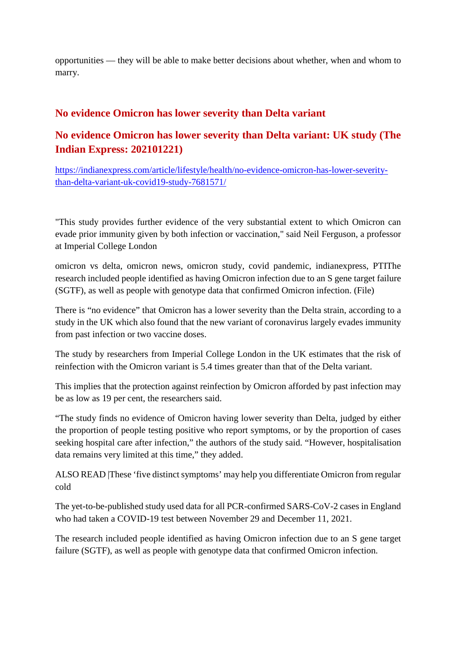opportunities — they will be able to make better decisions about whether, when and whom to marry.

#### **No evidence Omicron has lower severity than Delta variant**

#### **No evidence Omicron has lower severity than Delta variant: UK study (The Indian Express: 202101221)**

https://indianexpress.com/article/lifestyle/health/no-evidence-omicron-has-lower-severitythan-delta-variant-uk-covid19-study-7681571/

"This study provides further evidence of the very substantial extent to which Omicron can evade prior immunity given by both infection or vaccination," said Neil Ferguson, a professor at Imperial College London

omicron vs delta, omicron news, omicron study, covid pandemic, indianexpress, PTIThe research included people identified as having Omicron infection due to an S gene target failure (SGTF), as well as people with genotype data that confirmed Omicron infection. (File)

There is "no evidence" that Omicron has a lower severity than the Delta strain, according to a study in the UK which also found that the new variant of coronavirus largely evades immunity from past infection or two vaccine doses.

The study by researchers from Imperial College London in the UK estimates that the risk of reinfection with the Omicron variant is 5.4 times greater than that of the Delta variant.

This implies that the protection against reinfection by Omicron afforded by past infection may be as low as 19 per cent, the researchers said.

"The study finds no evidence of Omicron having lower severity than Delta, judged by either the proportion of people testing positive who report symptoms, or by the proportion of cases seeking hospital care after infection," the authors of the study said. "However, hospitalisation data remains very limited at this time," they added.

ALSO READ |These 'five distinct symptoms' may help you differentiate Omicron from regular cold

The yet-to-be-published study used data for all PCR-confirmed SARS-CoV-2 cases in England who had taken a COVID-19 test between November 29 and December 11, 2021.

The research included people identified as having Omicron infection due to an S gene target failure (SGTF), as well as people with genotype data that confirmed Omicron infection.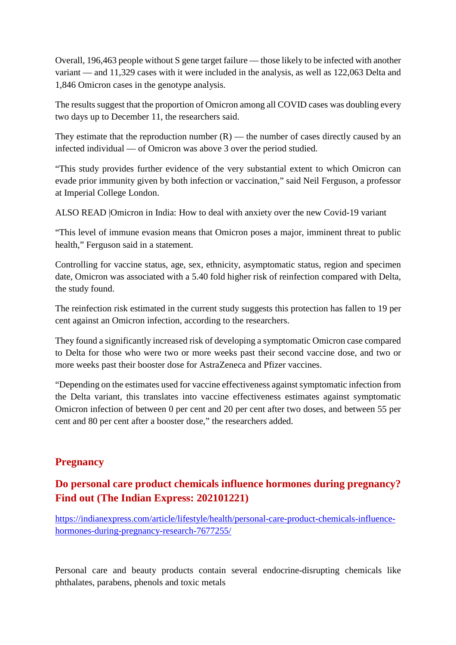Overall, 196,463 people without S gene target failure — those likely to be infected with another variant — and 11,329 cases with it were included in the analysis, as well as 122,063 Delta and 1,846 Omicron cases in the genotype analysis.

The results suggest that the proportion of Omicron among all COVID cases was doubling every two days up to December 11, the researchers said.

They estimate that the reproduction number  $(R)$  — the number of cases directly caused by an infected individual — of Omicron was above 3 over the period studied.

"This study provides further evidence of the very substantial extent to which Omicron can evade prior immunity given by both infection or vaccination," said Neil Ferguson, a professor at Imperial College London.

ALSO READ |Omicron in India: How to deal with anxiety over the new Covid-19 variant

"This level of immune evasion means that Omicron poses a major, imminent threat to public health," Ferguson said in a statement.

Controlling for vaccine status, age, sex, ethnicity, asymptomatic status, region and specimen date, Omicron was associated with a 5.40 fold higher risk of reinfection compared with Delta, the study found.

The reinfection risk estimated in the current study suggests this protection has fallen to 19 per cent against an Omicron infection, according to the researchers.

They found a significantly increased risk of developing a symptomatic Omicron case compared to Delta for those who were two or more weeks past their second vaccine dose, and two or more weeks past their booster dose for AstraZeneca and Pfizer vaccines.

"Depending on the estimates used for vaccine effectiveness against symptomatic infection from the Delta variant, this translates into vaccine effectiveness estimates against symptomatic Omicron infection of between 0 per cent and 20 per cent after two doses, and between 55 per cent and 80 per cent after a booster dose," the researchers added.

#### **Pregnancy**

#### **Do personal care product chemicals influence hormones during pregnancy? Find out (The Indian Express: 202101221)**

https://indianexpress.com/article/lifestyle/health/personal-care-product-chemicals-influencehormones-during-pregnancy-research-7677255/

Personal care and beauty products contain several endocrine-disrupting chemicals like phthalates, parabens, phenols and toxic metals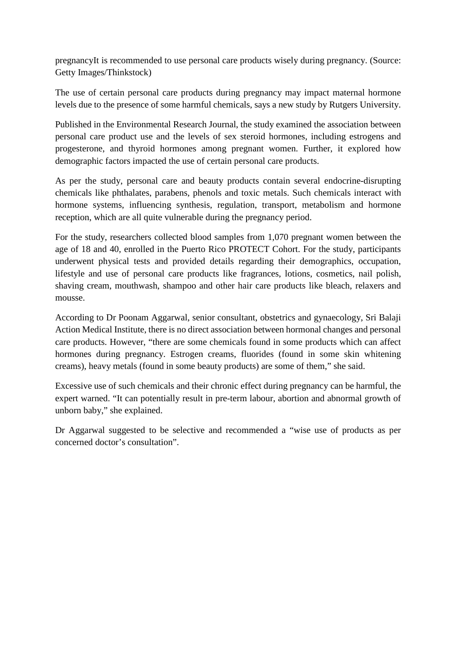pregnancyIt is recommended to use personal care products wisely during pregnancy. (Source: Getty Images/Thinkstock)

The use of certain personal care products during pregnancy may impact maternal hormone levels due to the presence of some harmful chemicals, says a new study by Rutgers University.

Published in the Environmental Research Journal, the study examined the association between personal care product use and the levels of sex steroid hormones, including estrogens and progesterone, and thyroid hormones among pregnant women. Further, it explored how demographic factors impacted the use of certain personal care products.

As per the study, personal care and beauty products contain several endocrine-disrupting chemicals like phthalates, parabens, phenols and toxic metals. Such chemicals interact with hormone systems, influencing synthesis, regulation, transport, metabolism and hormone reception, which are all quite vulnerable during the pregnancy period.

For the study, researchers collected blood samples from 1,070 pregnant women between the age of 18 and 40, enrolled in the Puerto Rico PROTECT Cohort. For the study, participants underwent physical tests and provided details regarding their demographics, occupation, lifestyle and use of personal care products like fragrances, lotions, cosmetics, nail polish, shaving cream, mouthwash, shampoo and other hair care products like bleach, relaxers and mousse.

According to Dr Poonam Aggarwal, senior consultant, obstetrics and gynaecology, Sri Balaji Action Medical Institute, there is no direct association between hormonal changes and personal care products. However, "there are some chemicals found in some products which can affect hormones during pregnancy. Estrogen creams, fluorides (found in some skin whitening creams), heavy metals (found in some beauty products) are some of them," she said.

Excessive use of such chemicals and their chronic effect during pregnancy can be harmful, the expert warned. "It can potentially result in pre-term labour, abortion and abnormal growth of unborn baby," she explained.

Dr Aggarwal suggested to be selective and recommended a "wise use of products as per concerned doctor's consultation".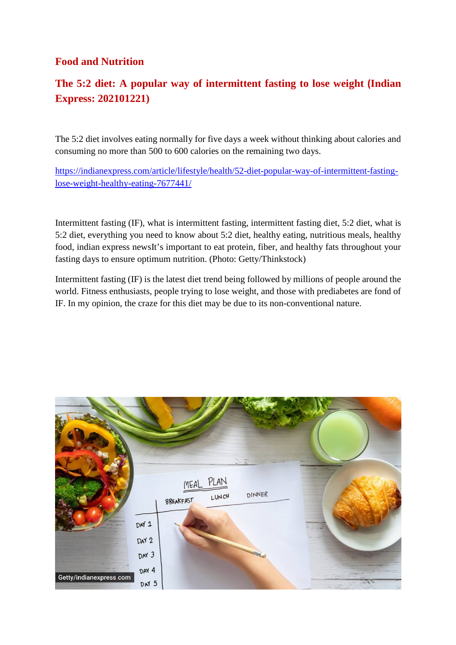#### **Food and Nutrition**

#### **The 5:2 diet: A popular way of intermittent fasting to lose weight (Indian Express: 202101221)**

The 5:2 diet involves eating normally for five days a week without thinking about calories and consuming no more than 500 to 600 calories on the remaining two days.

https://indianexpress.com/article/lifestyle/health/52-diet-popular-way-of-intermittent-fastinglose-weight-healthy-eating-7677441/

Intermittent fasting (IF), what is intermittent fasting, intermittent fasting diet, 5:2 diet, what is 5:2 diet, everything you need to know about 5:2 diet, healthy eating, nutritious meals, healthy food, indian express newsIt's important to eat protein, fiber, and healthy fats throughout your fasting days to ensure optimum nutrition. (Photo: Getty/Thinkstock)

Intermittent fasting (IF) is the latest diet trend being followed by millions of people around the world. Fitness enthusiasts, people trying to lose weight, and those with prediabetes are fond of IF. In my opinion, the craze for this diet may be due to its non-conventional nature.

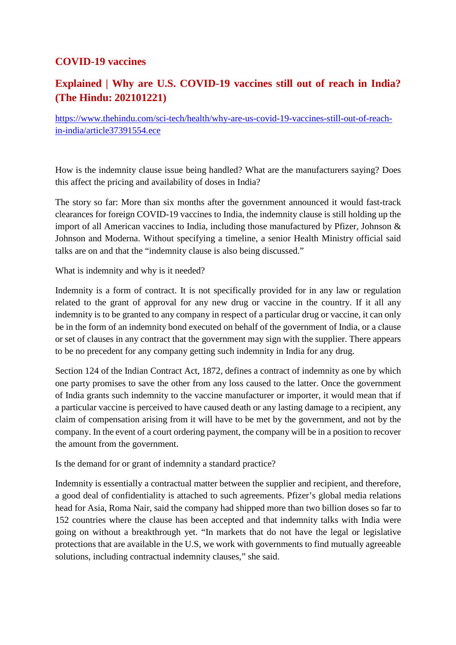#### **COVID-19 vaccines**

#### **Explained | Why are U.S. COVID-19 vaccines still out of reach in India? (The Hindu: 202101221)**

https://www.thehindu.com/sci-tech/health/why-are-us-covid-19-vaccines-still-out-of-reachin-india/article37391554.ece

How is the indemnity clause issue being handled? What are the manufacturers saying? Does this affect the pricing and availability of doses in India?

The story so far: More than six months after the government announced it would fast-track clearances for foreign COVID-19 vaccines to India, the indemnity clause is still holding up the import of all American vaccines to India, including those manufactured by Pfizer, Johnson & Johnson and Moderna. Without specifying a timeline, a senior Health Ministry official said talks are on and that the "indemnity clause is also being discussed."

What is indemnity and why is it needed?

Indemnity is a form of contract. It is not specifically provided for in any law or regulation related to the grant of approval for any new drug or vaccine in the country. If it all any indemnity is to be granted to any company in respect of a particular drug or vaccine, it can only be in the form of an indemnity bond executed on behalf of the government of India, or a clause or set of clauses in any contract that the government may sign with the supplier. There appears to be no precedent for any company getting such indemnity in India for any drug.

Section 124 of the Indian Contract Act, 1872, defines a contract of indemnity as one by which one party promises to save the other from any loss caused to the latter. Once the government of India grants such indemnity to the vaccine manufacturer or importer, it would mean that if a particular vaccine is perceived to have caused death or any lasting damage to a recipient, any claim of compensation arising from it will have to be met by the government, and not by the company. In the event of a court ordering payment, the company will be in a position to recover the amount from the government.

Is the demand for or grant of indemnity a standard practice?

Indemnity is essentially a contractual matter between the supplier and recipient, and therefore, a good deal of confidentiality is attached to such agreements. Pfizer's global media relations head for Asia, Roma Nair, said the company had shipped more than two billion doses so far to 152 countries where the clause has been accepted and that indemnity talks with India were going on without a breakthrough yet. "In markets that do not have the legal or legislative protections that are available in the U.S, we work with governments to find mutually agreeable solutions, including contractual indemnity clauses," she said.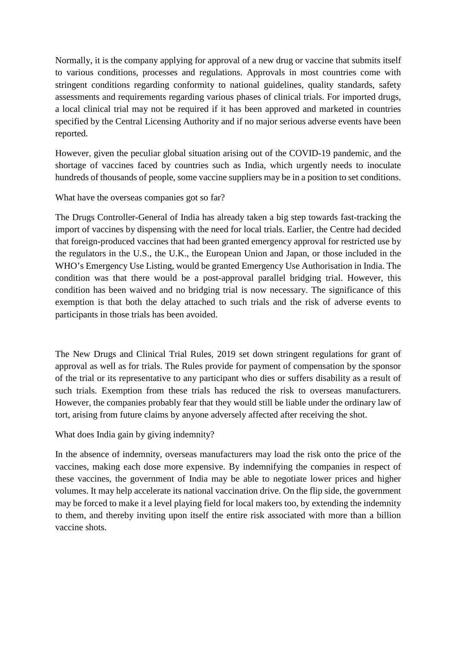Normally, it is the company applying for approval of a new drug or vaccine that submits itself to various conditions, processes and regulations. Approvals in most countries come with stringent conditions regarding conformity to national guidelines, quality standards, safety assessments and requirements regarding various phases of clinical trials. For imported drugs, a local clinical trial may not be required if it has been approved and marketed in countries specified by the Central Licensing Authority and if no major serious adverse events have been reported.

However, given the peculiar global situation arising out of the COVID-19 pandemic, and the shortage of vaccines faced by countries such as India, which urgently needs to inoculate hundreds of thousands of people, some vaccine suppliers may be in a position to set conditions.

What have the overseas companies got so far?

The Drugs Controller-General of India has already taken a big step towards fast-tracking the import of vaccines by dispensing with the need for local trials. Earlier, the Centre had decided that foreign-produced vaccines that had been granted emergency approval for restricted use by the regulators in the U.S., the U.K., the European Union and Japan, or those included in the WHO's Emergency Use Listing, would be granted Emergency Use Authorisation in India. The condition was that there would be a post-approval parallel bridging trial. However, this condition has been waived and no bridging trial is now necessary. The significance of this exemption is that both the delay attached to such trials and the risk of adverse events to participants in those trials has been avoided.

The New Drugs and Clinical Trial Rules, 2019 set down stringent regulations for grant of approval as well as for trials. The Rules provide for payment of compensation by the sponsor of the trial or its representative to any participant who dies or suffers disability as a result of such trials. Exemption from these trials has reduced the risk to overseas manufacturers. However, the companies probably fear that they would still be liable under the ordinary law of tort, arising from future claims by anyone adversely affected after receiving the shot.

What does India gain by giving indemnity?

In the absence of indemnity, overseas manufacturers may load the risk onto the price of the vaccines, making each dose more expensive. By indemnifying the companies in respect of these vaccines, the government of India may be able to negotiate lower prices and higher volumes. It may help accelerate its national vaccination drive. On the flip side, the government may be forced to make it a level playing field for local makers too, by extending the indemnity to them, and thereby inviting upon itself the entire risk associated with more than a billion vaccine shots.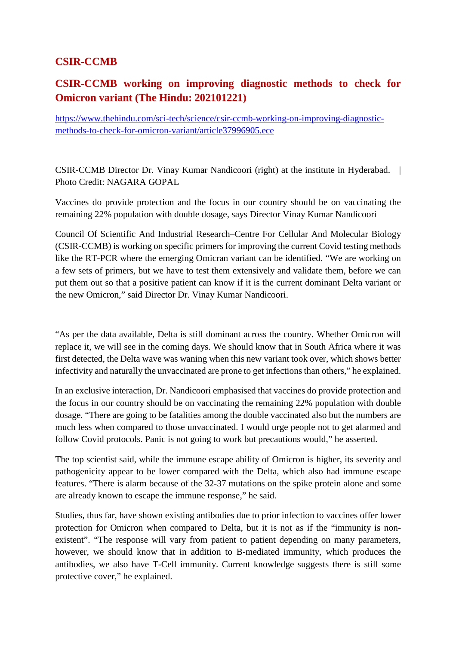#### **CSIR-CCMB**

#### **CSIR-CCMB working on improving diagnostic methods to check for Omicron variant (The Hindu: 202101221)**

https://www.thehindu.com/sci-tech/science/csir-ccmb-working-on-improving-diagnosticmethods-to-check-for-omicron-variant/article37996905.ece

CSIR-CCMB Director Dr. Vinay Kumar Nandicoori (right) at the institute in Hyderabad. | Photo Credit: NAGARA GOPAL

Vaccines do provide protection and the focus in our country should be on vaccinating the remaining 22% population with double dosage, says Director Vinay Kumar Nandicoori

Council Of Scientific And Industrial Research–Centre For Cellular And Molecular Biology (CSIR-CCMB) is working on specific primers for improving the current Covid testing methods like the RT-PCR where the emerging Omicran variant can be identified. "We are working on a few sets of primers, but we have to test them extensively and validate them, before we can put them out so that a positive patient can know if it is the current dominant Delta variant or the new Omicron," said Director Dr. Vinay Kumar Nandicoori.

"As per the data available, Delta is still dominant across the country. Whether Omicron will replace it, we will see in the coming days. We should know that in South Africa where it was first detected, the Delta wave was waning when this new variant took over, which shows better infectivity and naturally the unvaccinated are prone to get infections than others," he explained.

In an exclusive interaction, Dr. Nandicoori emphasised that vaccines do provide protection and the focus in our country should be on vaccinating the remaining 22% population with double dosage. "There are going to be fatalities among the double vaccinated also but the numbers are much less when compared to those unvaccinated. I would urge people not to get alarmed and follow Covid protocols. Panic is not going to work but precautions would," he asserted.

The top scientist said, while the immune escape ability of Omicron is higher, its severity and pathogenicity appear to be lower compared with the Delta, which also had immune escape features. "There is alarm because of the 32-37 mutations on the spike protein alone and some are already known to escape the immune response," he said.

Studies, thus far, have shown existing antibodies due to prior infection to vaccines offer lower protection for Omicron when compared to Delta, but it is not as if the "immunity is nonexistent". "The response will vary from patient to patient depending on many parameters, however, we should know that in addition to B-mediated immunity, which produces the antibodies, we also have T-Cell immunity. Current knowledge suggests there is still some protective cover," he explained.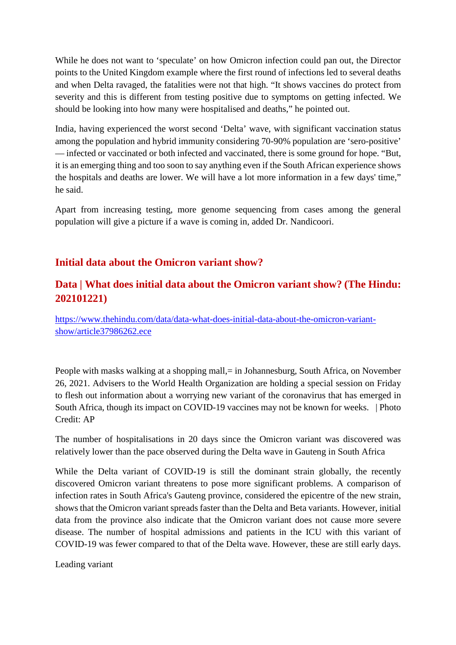While he does not want to 'speculate' on how Omicron infection could pan out, the Director points to the United Kingdom example where the first round of infections led to several deaths and when Delta ravaged, the fatalities were not that high. "It shows vaccines do protect from severity and this is different from testing positive due to symptoms on getting infected. We should be looking into how many were hospitalised and deaths," he pointed out.

India, having experienced the worst second 'Delta' wave, with significant vaccination status among the population and hybrid immunity considering 70-90% population are 'sero-positive' — infected or vaccinated or both infected and vaccinated, there is some ground for hope. "But, it is an emerging thing and too soon to say anything even if the South African experience shows the hospitals and deaths are lower. We will have a lot more information in a few days' time," he said.

Apart from increasing testing, more genome sequencing from cases among the general population will give a picture if a wave is coming in, added Dr. Nandicoori.

#### **Initial data about the Omicron variant show?**

#### **Data | What does initial data about the Omicron variant show? (The Hindu: 202101221)**

https://www.thehindu.com/data/data-what-does-initial-data-about-the-omicron-variantshow/article37986262.ece

People with masks walking at a shopping mall, = in Johannesburg, South Africa, on November 26, 2021. Advisers to the World Health Organization are holding a special session on Friday to flesh out information about a worrying new variant of the coronavirus that has emerged in South Africa, though its impact on COVID-19 vaccines may not be known for weeks. | Photo Credit: AP

The number of hospitalisations in 20 days since the Omicron variant was discovered was relatively lower than the pace observed during the Delta wave in Gauteng in South Africa

While the Delta variant of COVID-19 is still the dominant strain globally, the recently discovered Omicron variant threatens to pose more significant problems. A comparison of infection rates in South Africa's Gauteng province, considered the epicentre of the new strain, shows that the Omicron variant spreads faster than the Delta and Beta variants. However, initial data from the province also indicate that the Omicron variant does not cause more severe disease. The number of hospital admissions and patients in the ICU with this variant of COVID-19 was fewer compared to that of the Delta wave. However, these are still early days.

Leading variant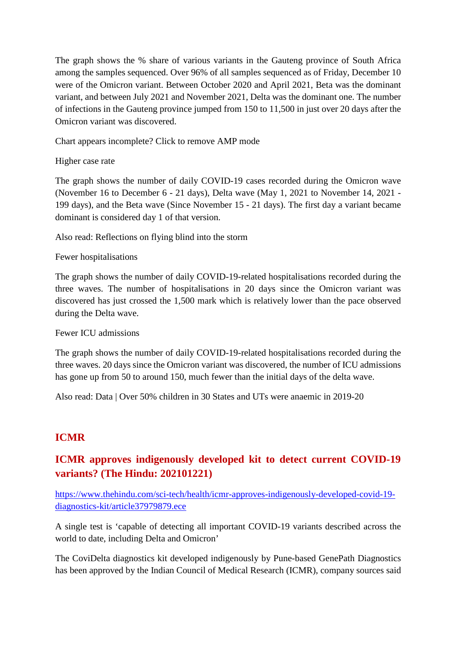The graph shows the % share of various variants in the Gauteng province of South Africa among the samples sequenced. Over 96% of all samples sequenced as of Friday, December 10 were of the Omicron variant. Between October 2020 and April 2021, Beta was the dominant variant, and between July 2021 and November 2021, Delta was the dominant one. The number of infections in the Gauteng province jumped from 150 to 11,500 in just over 20 days after the Omicron variant was discovered.

Chart appears incomplete? Click to remove AMP mode

Higher case rate

The graph shows the number of daily COVID-19 cases recorded during the Omicron wave (November 16 to December 6 - 21 days), Delta wave (May 1, 2021 to November 14, 2021 - 199 days), and the Beta wave (Since November 15 - 21 days). The first day a variant became dominant is considered day 1 of that version.

Also read: Reflections on flying blind into the storm

#### Fewer hospitalisations

The graph shows the number of daily COVID-19-related hospitalisations recorded during the three waves. The number of hospitalisations in 20 days since the Omicron variant was discovered has just crossed the 1,500 mark which is relatively lower than the pace observed during the Delta wave.

#### Fewer ICU admissions

The graph shows the number of daily COVID-19-related hospitalisations recorded during the three waves. 20 days since the Omicron variant was discovered, the number of ICU admissions has gone up from 50 to around 150, much fewer than the initial days of the delta wave.

Also read: Data | Over 50% children in 30 States and UTs were anaemic in 2019-20

#### **ICMR**

#### **ICMR approves indigenously developed kit to detect current COVID-19 variants? (The Hindu: 202101221)**

https://www.thehindu.com/sci-tech/health/icmr-approves-indigenously-developed-covid-19 diagnostics-kit/article37979879.ece

A single test is 'capable of detecting all important COVID-19 variants described across the world to date, including Delta and Omicron'

The CoviDelta diagnostics kit developed indigenously by Pune-based GenePath Diagnostics has been approved by the Indian Council of Medical Research (ICMR), company sources said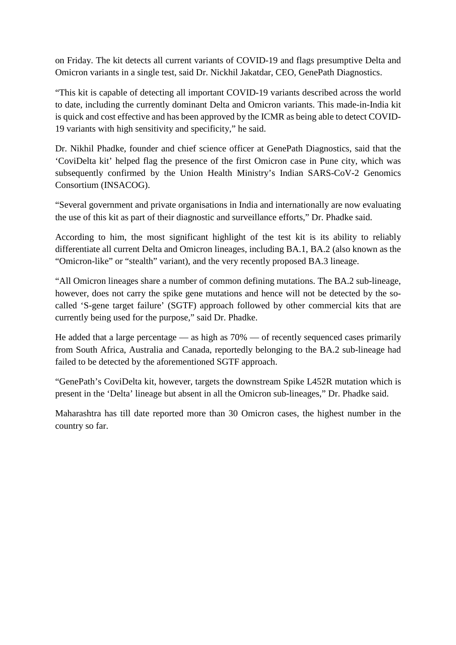on Friday. The kit detects all current variants of COVID-19 and flags presumptive Delta and Omicron variants in a single test, said Dr. Nickhil Jakatdar, CEO, GenePath Diagnostics.

"This kit is capable of detecting all important COVID-19 variants described across the world to date, including the currently dominant Delta and Omicron variants. This made-in-India kit is quick and cost effective and has been approved by the ICMR as being able to detect COVID-19 variants with high sensitivity and specificity," he said.

Dr. Nikhil Phadke, founder and chief science officer at GenePath Diagnostics, said that the 'CoviDelta kit' helped flag the presence of the first Omicron case in Pune city, which was subsequently confirmed by the Union Health Ministry's Indian SARS-CoV-2 Genomics Consortium (INSACOG).

"Several government and private organisations in India and internationally are now evaluating the use of this kit as part of their diagnostic and surveillance efforts," Dr. Phadke said.

According to him, the most significant highlight of the test kit is its ability to reliably differentiate all current Delta and Omicron lineages, including BA.1, BA.2 (also known as the "Omicron-like" or "stealth" variant), and the very recently proposed BA.3 lineage.

"All Omicron lineages share a number of common defining mutations. The BA.2 sub-lineage, however, does not carry the spike gene mutations and hence will not be detected by the socalled 'S-gene target failure' (SGTF) approach followed by other commercial kits that are currently being used for the purpose," said Dr. Phadke.

He added that a large percentage — as high as 70% — of recently sequenced cases primarily from South Africa, Australia and Canada, reportedly belonging to the BA.2 sub-lineage had failed to be detected by the aforementioned SGTF approach.

"GenePath's CoviDelta kit, however, targets the downstream Spike L452R mutation which is present in the 'Delta' lineage but absent in all the Omicron sub-lineages," Dr. Phadke said.

Maharashtra has till date reported more than 30 Omicron cases, the highest number in the country so far.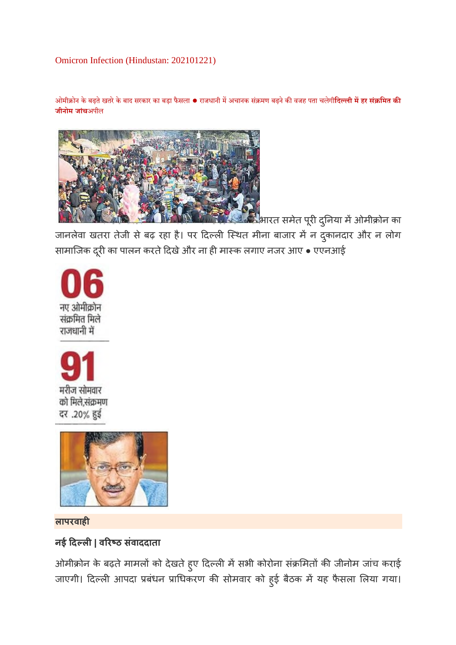#### Omicron Infection (Hindustan: 202101221)

ओमीोन के बढ़तेखतरेके बाद सरकार का बड़ा फैसला ● राजधानी मअचानक संमण बढ़नेकवजह पता चलेगी**िदली महर सं िमत क जीनोम जांच**अपील



<sup>्</sup>भारत समेत पूरी दुनिया में ओमीक्रोन का जानलेवा खतरा तेजी से बढ़ रहा है। पर दिल्ली स्थित मीना बाजार में न दुकानदार और न लोग सामाजिक दूरी का पालन करते दिखे और ना ही मास्क लगाए नजर आए • एएनआई







**लापरवाह**

#### **नई दल| वरठ संवाददाता**

ओमीक्रोन के बढ़ते मामलों को देखते हुए दिल्ली में सभी कोरोना संक्रमितों की जीनोम जांच कराई जाएगी। दिल्ली आपदा प्रबंधन प्राधिकरण की सोमवार को हुई बैठक में यह फैसला लिया गया।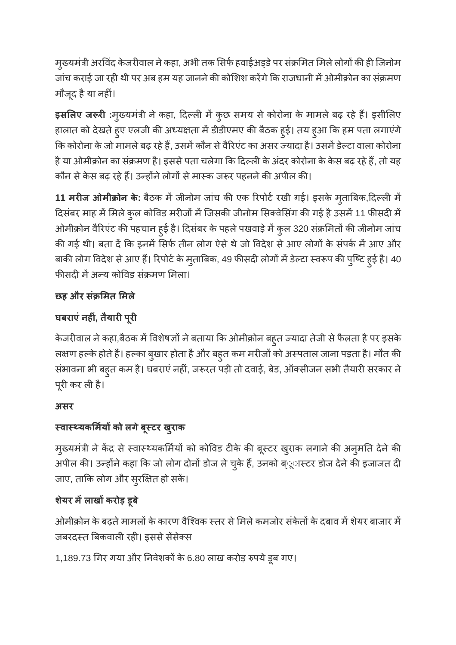मुख्यमंत्री अरविंद केजरीवाल ने कहा, अभी तक सिर्फ हवाईअड्डे पर संक्रमित मिले लोगों की ही जिनोम जांच कराई जा रही थी पर अब हम यह जानने की कोशिश करेंगे कि राजधानी में ओमीक्रोन का संक्रमण मौजूद हैया नहं।

**इसलए ज र :**मु यमंी नेकहा, दल मकुछ समय सेकोरोना के मामलेबढ़ रहेह। इसीलए हालात को देखते हुए एलजी की अध्यक्षता में डीडीएमए की बैठक हुई। तय हुआ कि हम पता लगाएंगे कि कोरोना के जो मामले बढ़ रहे हैं, उसमें कौन से वैरिएंट का असर ज्यादा है। उसमें डेल्टा वाला कोरोना है या ओमीक्रोन का संक्रमण है। इससे पता चलेगा कि दिल्ली के अंदर कोरोना के केस बढ़ रहे हैं, तो यह कौन से केस बढ़ रहे हैं। उन्होंने लोगों से मास्क जरूर पहनने की अपील की।

11 मरीज ओमीक्रोन के: बैठक में जीनोम जांच की एक रिपोर्ट रखी गई। इसके मुताबिक,दिल्ली में दिसंबर माह में मिले कुल कोविड मरीजों में जिसकी जीनोम सिक्वेसिंग की गई है उसमें 11 फीसदी में ओमीक्रोन वैरिएंट की पहचान हुई है। दिसंबर के पहले पखवाड़े में कुल 320 संक्रमितों की जीनोम जांच की गई थी। बता दें कि इनमें सिर्फ तीन लोग ऐसे थे जो विदेश से आए लोगों के संपर्क में आए और बाकी लोग विदेश से आए हैं। रिपोर्ट के मुताबिक, 49 फीसदी लोगों में डेल्टा स्वरूप की पुष्टि हुई है। 40 फीसदी में अन्य कोविड संक्रमण मिला।

#### **छह और सं मत मले**

### **घबराएंनहं, तैयारपूर**

केजरीवाल ने कहा,बैठक में विशेषज्ञों ने बताया कि ओमीक्रोन बहुत ज्यादा तेजी से फैलता है पर इसके लक्षण हल्के होते हैं। हल्का बुखार होता है और बहुत कम मरीजों को अस्पताल जाना पड़ता है। मौत की संभावना भी बहुत कम है। घबराएं नहीं, जरूरत पड़ी तो दवाई, बेड, ऑक्सीजन सभी तैयारी सरकार ने पूरी कर ली है।

#### **असर**

#### **वायकमय को लगेबूटर खरुाक**

मुख्यमंत्री ने केंद्र से स्वास्थ्यकर्मियों को कोविड टीके की बूस्टर खुराक लगाने की अनुमति देने की अपील की। उन्होंने कहा कि जो लोग दोनों डोज ले चुके हैं, उनको ब्ूास्टर डोज देने की इजाजत दी जाए, ताकि लोग और सुरक्षित हो सकें।

#### **शये र मलाखकरोड़ डूबे**

ओमीक्रोन के बढ़ते मामलों के कारण वैश्विक स्तर से मिले कमजोर संकेतों के दबाव में शेयर बाजार में जबरदस्त बिकवाली रही। इससे सेंसेक्स

1,189.73 गिर गया और निवेशकों के 6.80 लाख करोड़ रुपये डूब गए।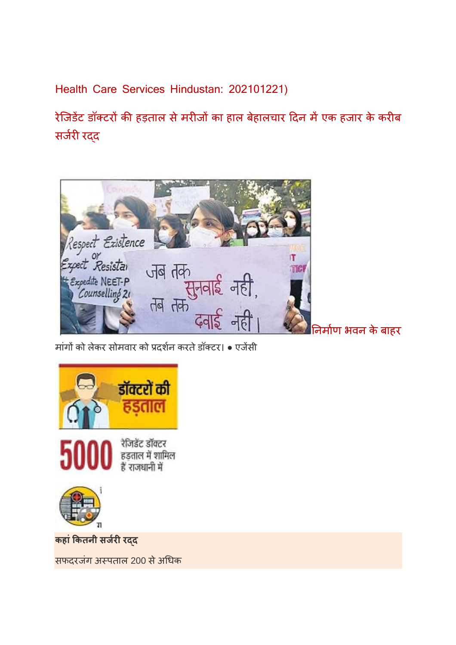Health Care Services Hindustan: 202101221)

रेजिडेंट डॉक्टरों की हड़ताल से मरीजों का हाल बेहालचार दिन में एक हजार के करीब सर्जरी रद्द



मांगों को लेकर सोमवार को प्रदर्शन करते डॉक्टर। • एजेंसी



**कहांकतनी सजररद**

सफदरजंग अस्पताल 200 से अधिक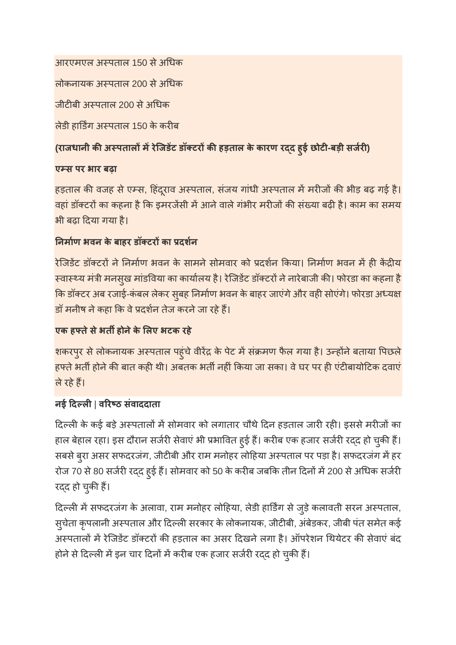आरएमएल अस्पताल 150 से अधिक

लोकनायक अस्पताल 200 से अधिक

जीटीबी अस्पताल 200 से अधिक

लेडी हार्डिंग अस्पताल 150 के करीब

#### **(राजधानी कअपतालमरेिजडट डॉटरकहड़ताल के कारण रद हुई छोट-बड़ी सजर)**

#### **एस पर भार बढ़ा**

हड़ताल की वजह से एम्स, हिंदूराव अस्पताल, संजय गांधी अस्पताल में मरीजों की भीड़ बढ़ गई है। वहां डॉक्टरों का कहना है कि इमरजेंसी में आने वाले गंभीर मरीजों की संख्या बढ़ी है। काम का समय भी बढ़ा दया गया है।

#### **नमाण भवन के बाहर डॉटरका दशन**

रेजिडेंट डॉक्टरों ने निर्माण भवन के सामने सोमवार को प्रदर्शन किया। निर्माण भवन में ही केंद्रीय स्वास्थ्य मंत्री मनसुख मांडविया का कार्यालय है। रेजिडेंट डॉक्टरों ने नारेबाजी की। फोरडा का कहना है कि डॉक्टर अब रजाई-कंबल लेकर सुबह निर्माण भवन के बाहर जाएंगे और वही सोएंगे। फोरडा अध्यक्ष डॉ मनीष ने कहा कि वे प्रदर्शन तेज करने जा रहे हैं।

#### **एक हतेसेभतहोनेके लए भटक रहे**

शकरपुर से लोकनायक अस्पताल पहुंचे वीरेंद्र के पेट में संक्रमण फैल गया है। उन्होंने बताया पिछले हफ्ते भर्ती होने की बात कही थी। अबतक भर्ती नहीं किया जा सका। वे घर पर ही एंटीबायोटिक दवाएं लेरहेह।

#### **नई दल**| **वरठ संवाददाता**

दिल्ली के कई बड़े अस्पतालों में सोमवार को लगातार चौथे दिन हड़ताल जारी रही। इससे मरीजों का हाल बेहाल रहा। इस दौरान सर्जरी सेवाएं भी प्रभावित हुई हैं। करीब एक हजार सर्जरी रदद हो चुकी हैं। सबसे बुरा असर सफदरजंग, जीटीबी और राम मनोहर लोहिया अस्पताल पर पड़ा है। सफदरजंग में हर रोज 70 से 80 सर्जरी रदद हुई हैं। सोमवार को 50 के करीब जबकि तीन दिनों में 200 से अधिक सर्जरी रदद हो चुकी हैं।

दिल्ली में सफदरजंग के अलावा, राम मनोहर लोहिया, लेडी हार्डिंग से जुड़े कलावती सरन अस्पताल, सुचेता कुपलानी अस्पताल और दिल्ली सरकार के लोकनायक, जीटीबी, अंबेडकर, जीबी पंत समेत कई अस्पतालों में रेजिडेंट डॉक्टरों की हड़ताल का असर दिखने लगा है। ऑपरेशन थियेटर की सेवाएं बंद होने से दिल्ली में इन चार दिनों में करीब एक हजार सर्जरी रदद हो चुकी हैं।